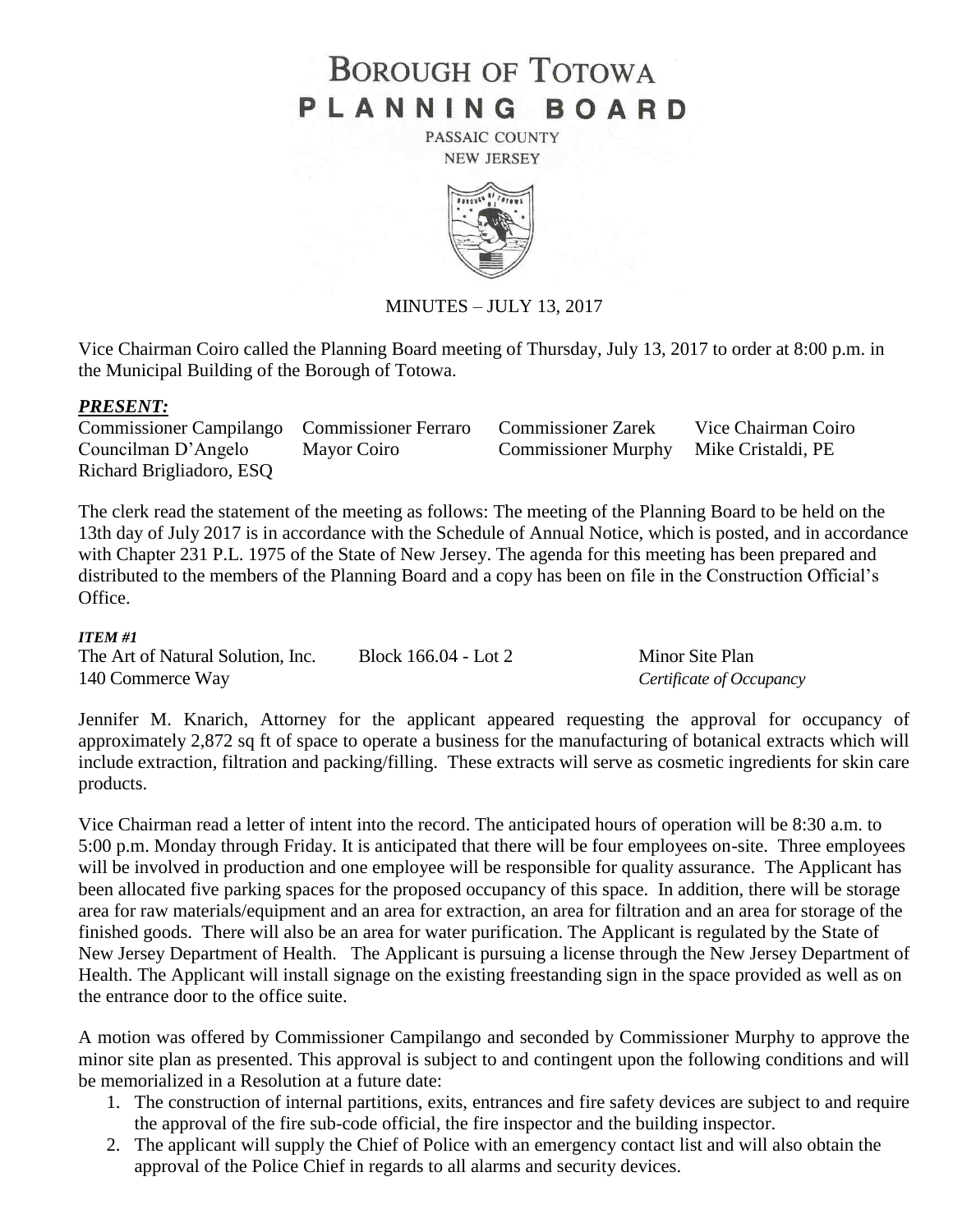# **BOROUGH OF TOTOWA** PLANNING BOARD

PASSAIC COUNTY **NEW JERSEY** 



MINUTES – JULY 13, 2017

Vice Chairman Coiro called the Planning Board meeting of Thursday, July 13, 2017 to order at 8:00 p.m. in the Municipal Building of the Borough of Totowa.

## *PRESENT:*

Commissioner Campilango Commissioner Ferraro Commissioner Zarek Vice Chairman Coiro Councilman D'Angelo Mayor Coiro Commissioner Murphy Mike Cristaldi, PE Richard Brigliadoro, ESQ

The clerk read the statement of the meeting as follows: The meeting of the Planning Board to be held on the 13th day of July 2017 is in accordance with the Schedule of Annual Notice, which is posted, and in accordance with Chapter 231 P.L. 1975 of the State of New Jersey. The agenda for this meeting has been prepared and distributed to the members of the Planning Board and a copy has been on file in the Construction Official's Office.

## *ITEM #1*

The Art of Natural Solution, Inc. Block 166.04 - Lot 2 Minor Site Plan 140 Commerce Way *Certificate of Occupancy*

Jennifer M. Knarich, Attorney for the applicant appeared requesting the approval for occupancy of approximately 2,872 sq ft of space to operate a business for the manufacturing of botanical extracts which will include extraction, filtration and packing/filling. These extracts will serve as cosmetic ingredients for skin care products.

Vice Chairman read a letter of intent into the record. The anticipated hours of operation will be 8:30 a.m. to 5:00 p.m. Monday through Friday. It is anticipated that there will be four employees on-site. Three employees will be involved in production and one employee will be responsible for quality assurance. The Applicant has been allocated five parking spaces for the proposed occupancy of this space. In addition, there will be storage area for raw materials/equipment and an area for extraction, an area for filtration and an area for storage of the finished goods. There will also be an area for water purification. The Applicant is regulated by the State of New Jersey Department of Health. The Applicant is pursuing a license through the New Jersey Department of Health. The Applicant will install signage on the existing freestanding sign in the space provided as well as on the entrance door to the office suite.

A motion was offered by Commissioner Campilango and seconded by Commissioner Murphy to approve the minor site plan as presented. This approval is subject to and contingent upon the following conditions and will be memorialized in a Resolution at a future date:

- 1. The construction of internal partitions, exits, entrances and fire safety devices are subject to and require the approval of the fire sub-code official, the fire inspector and the building inspector.
- 2. The applicant will supply the Chief of Police with an emergency contact list and will also obtain the approval of the Police Chief in regards to all alarms and security devices.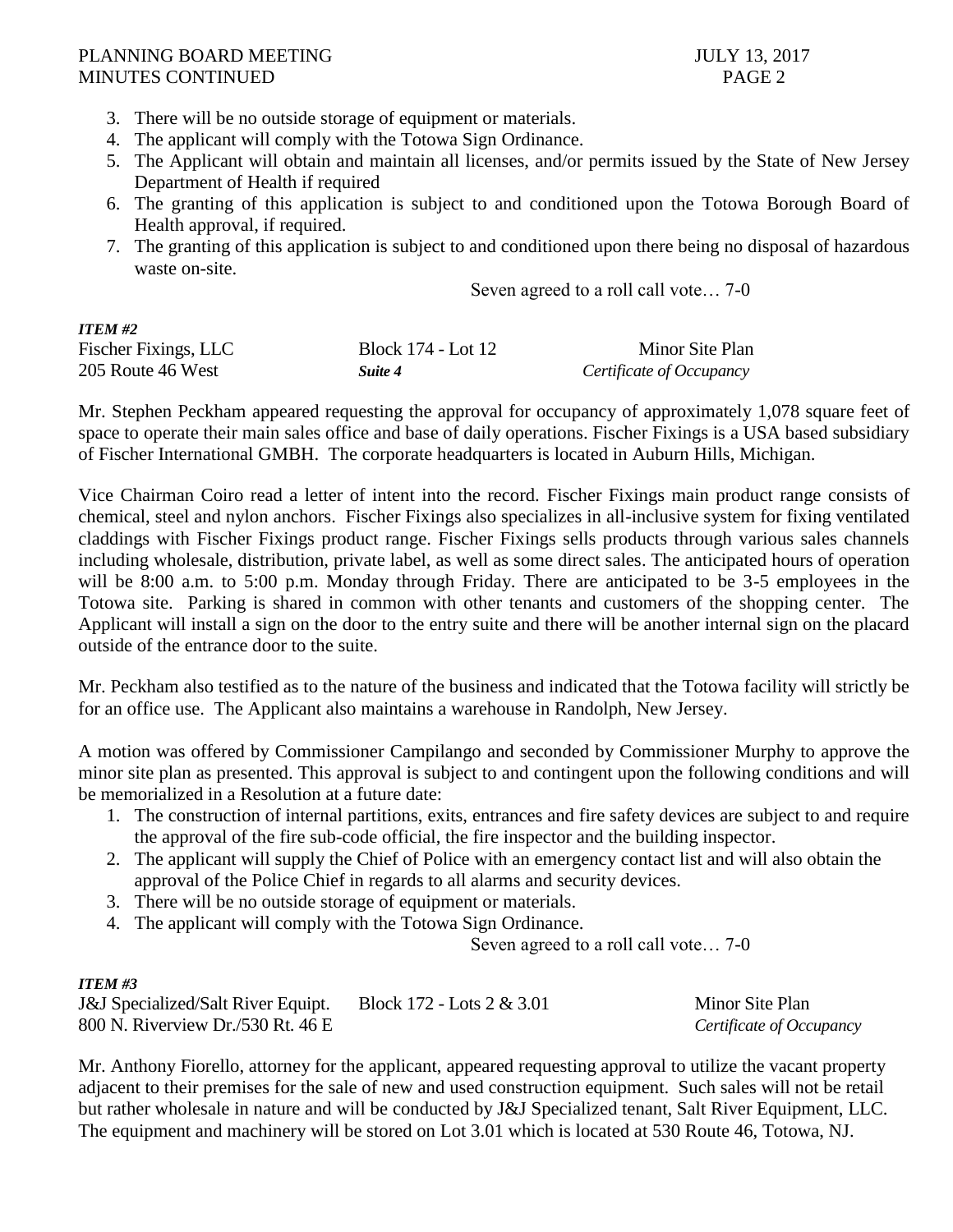## PLANNING BOARD MEETING 3.2017 MINUTES CONTINUED PAGE 2

- 3. There will be no outside storage of equipment or materials.
- 4. The applicant will comply with the Totowa Sign Ordinance.
- 5. The Applicant will obtain and maintain all licenses, and/or permits issued by the State of New Jersey Department of Health if required
- 6. The granting of this application is subject to and conditioned upon the Totowa Borough Board of Health approval, if required.
- 7. The granting of this application is subject to and conditioned upon there being no disposal of hazardous waste on-site.

Seven agreed to a roll call vote… 7-0

| <b>ITEM #2</b>       |                    |                          |
|----------------------|--------------------|--------------------------|
| Fischer Fixings, LLC | Block 174 - Lot 12 | Minor Site Plan          |
| 205 Route 46 West    | Suite 4            | Certificate of Occupancy |

Mr. Stephen Peckham appeared requesting the approval for occupancy of approximately 1,078 square feet of space to operate their main sales office and base of daily operations. Fischer Fixings is a USA based subsidiary of Fischer International GMBH. The corporate headquarters is located in Auburn Hills, Michigan.

Vice Chairman Coiro read a letter of intent into the record. Fischer Fixings main product range consists of chemical, steel and nylon anchors. Fischer Fixings also specializes in all-inclusive system for fixing ventilated claddings with Fischer Fixings product range. Fischer Fixings sells products through various sales channels including wholesale, distribution, private label, as well as some direct sales. The anticipated hours of operation will be 8:00 a.m. to 5:00 p.m. Monday through Friday. There are anticipated to be 3-5 employees in the Totowa site. Parking is shared in common with other tenants and customers of the shopping center. The Applicant will install a sign on the door to the entry suite and there will be another internal sign on the placard outside of the entrance door to the suite.

Mr. Peckham also testified as to the nature of the business and indicated that the Totowa facility will strictly be for an office use. The Applicant also maintains a warehouse in Randolph, New Jersey.

A motion was offered by Commissioner Campilango and seconded by Commissioner Murphy to approve the minor site plan as presented. This approval is subject to and contingent upon the following conditions and will be memorialized in a Resolution at a future date:

- 1. The construction of internal partitions, exits, entrances and fire safety devices are subject to and require the approval of the fire sub-code official, the fire inspector and the building inspector.
- 2. The applicant will supply the Chief of Police with an emergency contact list and will also obtain the approval of the Police Chief in regards to all alarms and security devices.
- 3. There will be no outside storage of equipment or materials.
- 4. The applicant will comply with the Totowa Sign Ordinance.

Seven agreed to a roll call vote… 7-0

# *ITEM #3*

| <b>J&amp;J</b> Specialized/Salt River Equipt. | Block $172 -$ Lots $2 \& 3.01$ | Minor Site Plan          |
|-----------------------------------------------|--------------------------------|--------------------------|
| 800 N. Riverview Dr./530 Rt. 46 E             |                                | Certificate of Occupancy |

Mr. Anthony Fiorello, attorney for the applicant, appeared requesting approval to utilize the vacant property adjacent to their premises for the sale of new and used construction equipment. Such sales will not be retail but rather wholesale in nature and will be conducted by J&J Specialized tenant, Salt River Equipment, LLC. The equipment and machinery will be stored on Lot 3.01 which is located at 530 Route 46, Totowa, NJ.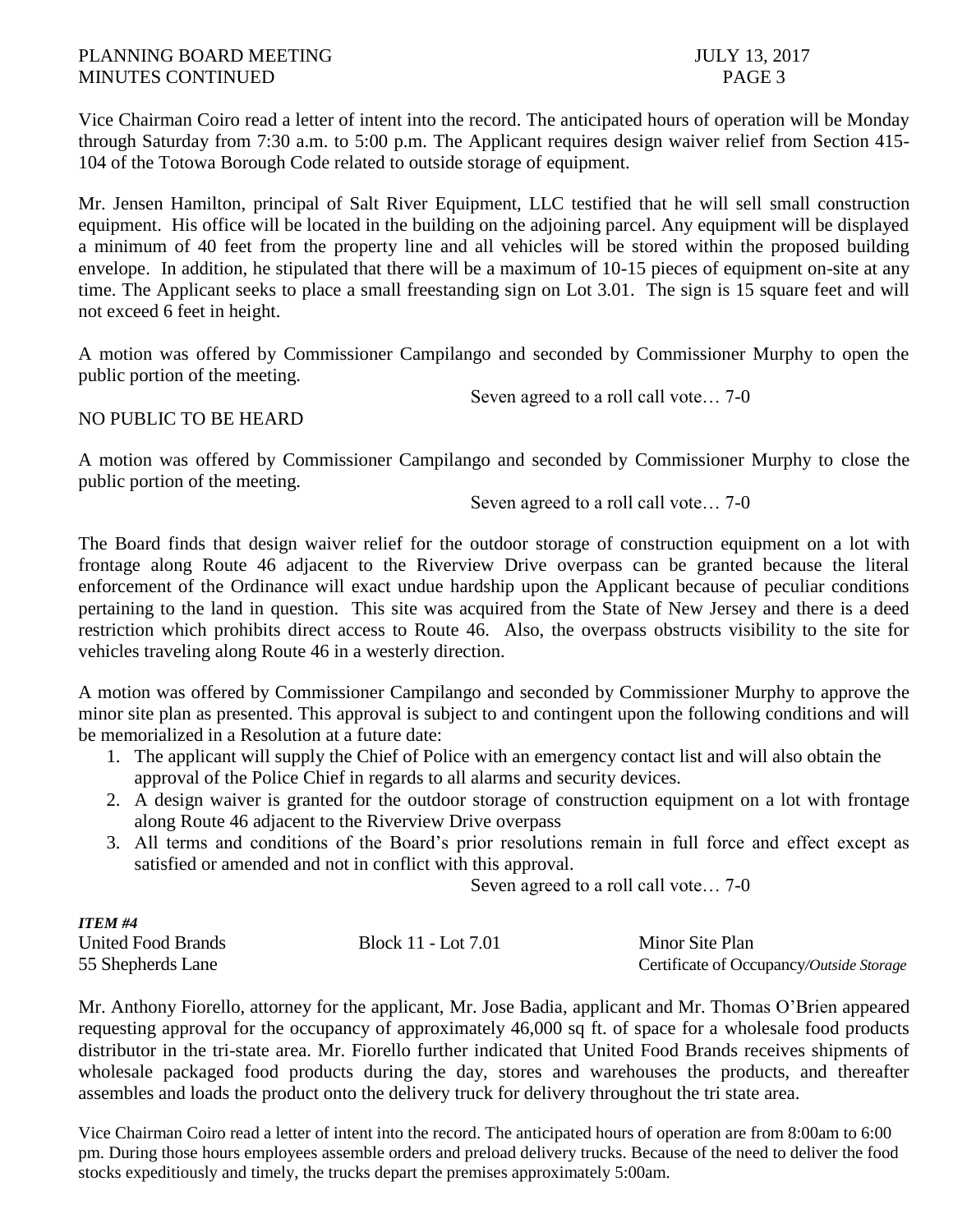## PLANNING BOARD MEETING 3.2017 MINUTES CONTINUED **PAGE 3**

Vice Chairman Coiro read a letter of intent into the record. The anticipated hours of operation will be Monday through Saturday from 7:30 a.m. to 5:00 p.m. The Applicant requires design waiver relief from Section 415- 104 of the Totowa Borough Code related to outside storage of equipment.

Mr. Jensen Hamilton, principal of Salt River Equipment, LLC testified that he will sell small construction equipment. His office will be located in the building on the adjoining parcel. Any equipment will be displayed a minimum of 40 feet from the property line and all vehicles will be stored within the proposed building envelope. In addition, he stipulated that there will be a maximum of 10-15 pieces of equipment on-site at any time. The Applicant seeks to place a small freestanding sign on Lot 3.01. The sign is 15 square feet and will not exceed 6 feet in height.

A motion was offered by Commissioner Campilango and seconded by Commissioner Murphy to open the public portion of the meeting.

Seven agreed to a roll call vote… 7-0

# NO PUBLIC TO BE HEARD

A motion was offered by Commissioner Campilango and seconded by Commissioner Murphy to close the public portion of the meeting.

Seven agreed to a roll call vote… 7-0

The Board finds that design waiver relief for the outdoor storage of construction equipment on a lot with frontage along Route 46 adjacent to the Riverview Drive overpass can be granted because the literal enforcement of the Ordinance will exact undue hardship upon the Applicant because of peculiar conditions pertaining to the land in question. This site was acquired from the State of New Jersey and there is a deed restriction which prohibits direct access to Route 46. Also, the overpass obstructs visibility to the site for vehicles traveling along Route 46 in a westerly direction.

A motion was offered by Commissioner Campilango and seconded by Commissioner Murphy to approve the minor site plan as presented. This approval is subject to and contingent upon the following conditions and will be memorialized in a Resolution at a future date:

- 1. The applicant will supply the Chief of Police with an emergency contact list and will also obtain the approval of the Police Chief in regards to all alarms and security devices.
- 2. A design waiver is granted for the outdoor storage of construction equipment on a lot with frontage along Route 46 adjacent to the Riverview Drive overpass
- 3. All terms and conditions of the Board's prior resolutions remain in full force and effect except as satisfied or amended and not in conflict with this approval.

Seven agreed to a roll call vote… 7-0

| <b>ITEM #4</b>            |                     |                                          |
|---------------------------|---------------------|------------------------------------------|
| <b>United Food Brands</b> | Block 11 - Lot 7.01 | Minor Site Plan                          |
| 55 Shepherds Lane         |                     | Certificate of Occupancy/Outside Storage |

Mr. Anthony Fiorello, attorney for the applicant, Mr. Jose Badia, applicant and Mr. Thomas O'Brien appeared requesting approval for the occupancy of approximately 46,000 sq ft. of space for a wholesale food products distributor in the tri-state area. Mr. Fiorello further indicated that United Food Brands receives shipments of wholesale packaged food products during the day, stores and warehouses the products, and thereafter assembles and loads the product onto the delivery truck for delivery throughout the tri state area.

Vice Chairman Coiro read a letter of intent into the record. The anticipated hours of operation are from 8:00am to 6:00 pm. During those hours employees assemble orders and preload delivery trucks. Because of the need to deliver the food stocks expeditiously and timely, the trucks depart the premises approximately 5:00am.